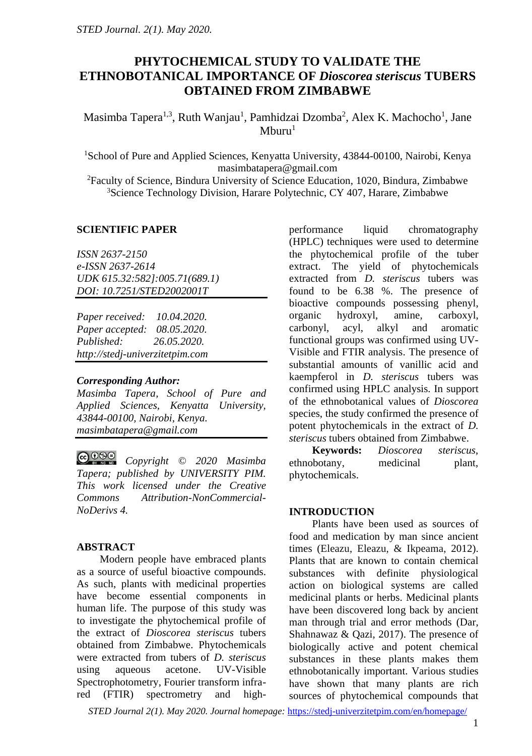# **PHYTOCHEMICAL STUDY TO VALIDATE THE ETHNOBOTANICAL IMPORTANCE OF** *Dioscorea steriscus* **TUBERS OBTAINED FROM ZIMBABWE**

Masimba Tapera<sup>1,3</sup>, Ruth Wanjau<sup>1</sup>, Pamhidzai Dzomba<sup>2</sup>, Alex K. Machocho<sup>1</sup>, Jane  $M$ buru<sup>1</sup>

<sup>1</sup>School of Pure and Applied Sciences, Kenyatta University, 43844-00100, Nairobi, Kenya masimbatapera@gmail.com

<sup>2</sup>Faculty of Science, Bindura University of Science Education, 1020, Bindura, Zimbabwe <sup>3</sup>Science Technology Division, Harare Polytechnic, CY 407, Harare, Zimbabwe

### **SCIENTIFIC PAPER**

*ISSN 2637-2150 e-ISSN 2637-2614 UDK 615.32:582]:005.71(689.1) DOI: 10.7251/STED2002001T*

*Paper received: 10.04.2020. Paper accepted: 08.05.2020. Published: 26.05.2020. http://stedj-univerzitetpim.com*

### *Corresponding Author:*

*Masimba Tapera, School of Pure and Applied Sciences, Kenyatta University, 43844-00100, Nairobi, Kenya. masimbatapera@gmail.com*

 $\bigcirc$  000 *Copyright © 2020 Masimba Tapera; published by UNIVERSITY PIM. This work licensed under the Creative Commons Attribution-NonCommercial-NoDerivs 4.*

### **ABSTRACT**

Modern people have embraced plants as a source of useful bioactive compounds. As such, plants with medicinal properties have become essential components in human life. The purpose of this study was to investigate the phytochemical profile of the extract of *Dioscorea steriscus* tubers obtained from Zimbabwe. Phytochemicals were extracted from tubers of *D. steriscus* using aqueous acetone. UV-Visible Spectrophotometry, Fourier transform infrared (FTIR) spectrometry and highperformance liquid chromatography (HPLC) techniques were used to determine the phytochemical profile of the tuber extract. The yield of phytochemicals extracted from *D. steriscus* tubers was found to be 6.38 %. The presence of bioactive compounds possessing phenyl, organic hydroxyl, amine, carboxyl, carbonyl, acyl, alkyl and aromatic functional groups was confirmed using UV-Visible and FTIR analysis. The presence of substantial amounts of vanillic acid and kaempferol in *D. steriscus* tubers was confirmed using HPLC analysis. In support of the ethnobotanical values of *Dioscorea* species, the study confirmed the presence of potent phytochemicals in the extract of *D. steriscus* tubers obtained from Zimbabwe.

**Keywords:** *Dioscorea steriscus*, ethnobotany, medicinal plant, phytochemicals.

### **INTRODUCTION**

Plants have been used as sources of food and medication by man since ancient times (Eleazu, Eleazu, & Ikpeama, 2012). Plants that are known to contain chemical substances with definite physiological action on biological systems are called medicinal plants or herbs. Medicinal plants have been discovered long back by ancient man through trial and error methods (Dar, Shahnawaz & Qazi, 2017). The presence of biologically active and potent chemical substances in these plants makes them ethnobotanically important. Various studies have shown that many plants are rich sources of phytochemical compounds that

*STED Journal 2(1). May 2020. Journal homepage:* <https://stedj-univerzitetpim.com/en/homepage/>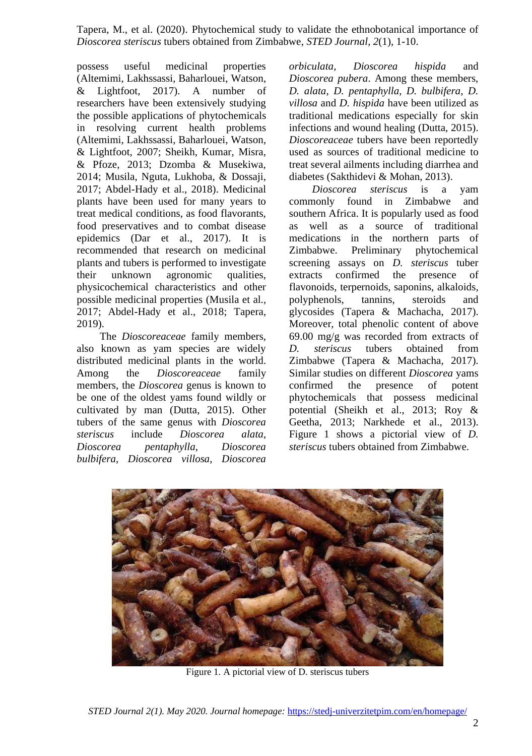possess useful medicinal properties (Altemimi, Lakhssassi, Baharlouei, Watson, & Lightfoot, 2017). A number of researchers have been extensively studying the possible applications of phytochemicals in resolving current health problems (Altemimi, Lakhssassi, Baharlouei, Watson, & Lightfoot, 2007; Sheikh, Kumar, Misra, & Pfoze, 2013; Dzomba & Musekiwa, 2014; Musila, Nguta, Lukhoba, & Dossaji, 2017; Abdel-Hady et al., 2018). Medicinal plants have been used for many years to treat medical conditions, as food flavorants, food preservatives and to combat disease epidemics (Dar et al., 2017). It is recommended that research on medicinal plants and tubers is performed to investigate their unknown agronomic qualities, physicochemical characteristics and other possible medicinal properties (Musila et al., 2017; Abdel-Hady et al., 2018; Tapera, 2019).

The *Dioscoreaceae* family members, also known as yam species are widely distributed medicinal plants in the world. Among the *Dioscoreaceae* family members, the *Dioscorea* genus is known to be one of the oldest yams found wildly or cultivated by man (Dutta, 2015). Other tubers of the same genus with *Dioscorea steriscus* include *Dioscorea alata*, *Dioscorea pentaphylla*, *Dioscorea bulbifera*, *Dioscorea villosa*, *Dioscorea* *orbiculata*, *Dioscorea hispida* and *Dioscorea pubera*. Among these members, *D. alata*, *D. pentaphylla*, *D. bulbifera*, *D. villosa* and *D. hispida* have been utilized as traditional medications especially for skin infections and wound healing (Dutta, 2015). *Dioscoreaceae* tubers have been reportedly used as sources of traditional medicine to treat several ailments including diarrhea and diabetes (Sakthidevi & Mohan, 2013).

*Dioscorea steriscus* is a yam commonly found in Zimbabwe and southern Africa. It is popularly used as food as well as a source of traditional medications in the northern parts of Zimbabwe. Preliminary phytochemical screening assays on *D. steriscus* tuber extracts confirmed the presence of flavonoids, terpernoids, saponins, alkaloids, polyphenols, tannins, steroids and glycosides (Tapera & Machacha, 2017). Moreover, total phenolic content of above 69.00 mg/g was recorded from extracts of *D. steriscus* tubers obtained from Zimbabwe (Tapera & Machacha, 2017). Similar studies on different *Dioscorea* yams confirmed the presence of potent phytochemicals that possess medicinal potential (Sheikh et al., 2013; Roy & Geetha, 2013; Narkhede et al., 2013). Figure 1 shows a pictorial view of *D. steriscus* tubers obtained from Zimbabwe.



Figure 1. A pictorial view of D. steriscus tubers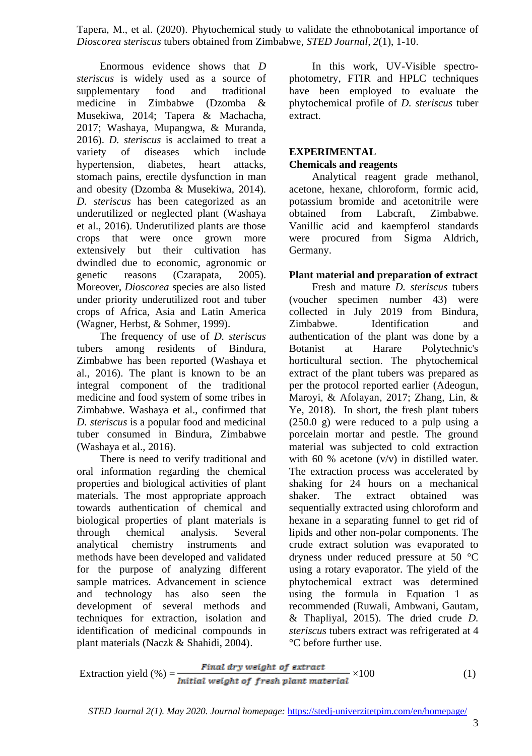Enormous evidence shows that *D steriscus* is widely used as a source of supplementary food and traditional medicine in Zimbabwe (Dzomba & Musekiwa, 2014; Tapera & Machacha, 2017; Washaya, Mupangwa, & Muranda, 2016). *D. steriscus* is acclaimed to treat a variety of diseases which include hypertension, diabetes, heart attacks, stomach pains, erectile dysfunction in man and obesity (Dzomba & Musekiwa, 2014). *D. steriscus* has been categorized as an underutilized or neglected plant (Washaya et al., 2016). Underutilized plants are those crops that were once grown more extensively but their cultivation has dwindled due to economic, agronomic or genetic reasons (Czarapata, 2005). Moreover, *Dioscorea* species are also listed under priority underutilized root and tuber crops of Africa, Asia and Latin America (Wagner, Herbst, & Sohmer, 1999).

The frequency of use of *D. steriscus* tubers among residents of Bindura, Zimbabwe has been reported (Washaya et al., 2016). The plant is known to be an integral component of the traditional medicine and food system of some tribes in Zimbabwe. Washaya et al., confirmed that *D. steriscus* is a popular food and medicinal tuber consumed in Bindura, Zimbabwe (Washaya et al., 2016).

There is need to verify traditional and oral information regarding the chemical properties and biological activities of plant materials. The most appropriate approach towards authentication of chemical and biological properties of plant materials is through chemical analysis. Several analytical chemistry instruments and methods have been developed and validated for the purpose of analyzing different sample matrices. Advancement in science and technology has also seen the development of several methods and techniques for extraction, isolation and identification of medicinal compounds in plant materials (Naczk & Shahidi, 2004).

In this work, UV-Visible spectrophotometry, FTIR and HPLC techniques have been employed to evaluate the phytochemical profile of *D. steriscus* tuber extract.

### **EXPERIMENTAL Chemicals and reagents**

Analytical reagent grade methanol, acetone, hexane, chloroform, formic acid, potassium bromide and acetonitrile were obtained from Labcraft, Zimbabwe. Vanillic acid and kaempferol standards were procured from Sigma Aldrich, Germany.

## **Plant material and preparation of extract**

Fresh and mature *D. steriscus* tubers (voucher specimen number 43) were collected in July 2019 from Bindura, Zimbabwe. Identification and authentication of the plant was done by a Botanist at Harare Polytechnic's horticultural section. The phytochemical extract of the plant tubers was prepared as per the protocol reported earlier (Adeogun, Maroyi, & Afolayan, 2017; Zhang, Lin, & Ye, 2018). In short, the fresh plant tubers (250.0 g) were reduced to a pulp using a porcelain mortar and pestle. The ground material was subjected to cold extraction with 60 % acetone  $(v/v)$  in distilled water. The extraction process was accelerated by shaking for 24 hours on a mechanical shaker. The extract obtained was sequentially extracted using chloroform and hexane in a separating funnel to get rid of lipids and other non-polar components. The crude extract solution was evaporated to dryness under reduced pressure at 50 °C using a rotary evaporator. The yield of the phytochemical extract was determined using the formula in Equation 1 as recommended (Ruwali, Ambwani, Gautam, & Thapliyal, 2015). The dried crude *D. steriscus* tubers extract was refrigerated at 4 °C before further use.

$$
Extraction yield (\%) = \frac{Final\ dry\ weight\ of\ extract}{Initial\ weight\ of\ fresh\ plant\ material} \times 100
$$
 (1)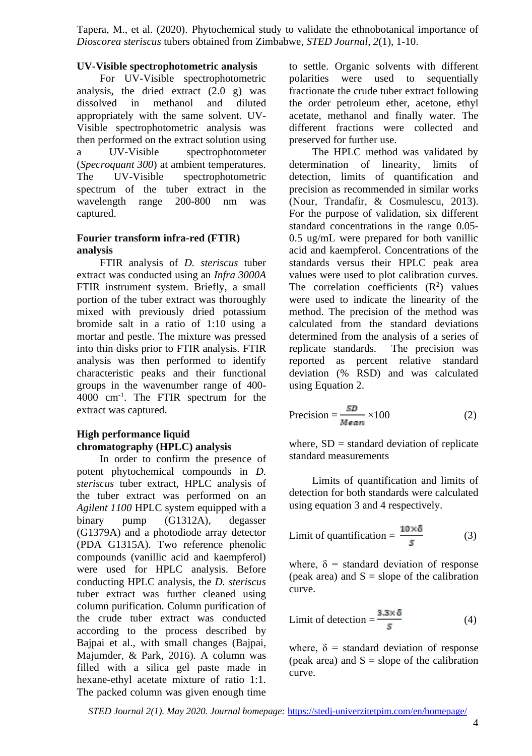## **UV-Visible spectrophotometric analysis**

For UV-Visible spectrophotometric analysis, the dried extract  $(2.0 \text{ g})$  was dissolved in methanol and diluted appropriately with the same solvent. UV-Visible spectrophotometric analysis was then performed on the extract solution using a UV-Visible spectrophotometer (*Specroquant 300*) at ambient temperatures. The UV-Visible spectrophotometric spectrum of the tuber extract in the wavelength range 200-800 nm was captured.

## **Fourier transform infra-red (FTIR) analysis**

FTIR analysis of *D. steriscus* tuber extract was conducted using an *Infra 3000A* FTIR instrument system. Briefly, a small portion of the tuber extract was thoroughly mixed with previously dried potassium bromide salt in a ratio of 1:10 using a mortar and pestle. The mixture was pressed into thin disks prior to FTIR analysis. FTIR analysis was then performed to identify characteristic peaks and their functional groups in the wavenumber range of 400- 4000 cm-1 . The FTIR spectrum for the extract was captured.

## **High performance liquid chromatography (HPLC) analysis**

In order to confirm the presence of potent phytochemical compounds in *D. steriscus* tuber extract, HPLC analysis of the tuber extract was performed on an *Agilent 1100* HPLC system equipped with a binary pump (G1312A), degasser (G1379A) and a photodiode array detector (PDA G1315A). Two reference phenolic compounds (vanillic acid and kaempferol) were used for HPLC analysis. Before conducting HPLC analysis, the *D. steriscus* tuber extract was further cleaned using column purification. Column purification of the crude tuber extract was conducted according to the process described by Bajpai et al., with small changes (Bajpai, Majumder, & Park, 2016). A column was filled with a silica gel paste made in hexane-ethyl acetate mixture of ratio 1:1. The packed column was given enough time

to settle. Organic solvents with different polarities were used to sequentially fractionate the crude tuber extract following the order petroleum ether, acetone, ethyl acetate, methanol and finally water. The different fractions were collected and preserved for further use.

The HPLC method was validated by determination of linearity, limits of detection, limits of quantification and precision as recommended in similar works (Nour, Trandafir, & Cosmulescu, 2013). For the purpose of validation, six different standard concentrations in the range 0.05- 0.5 ug/mL were prepared for both vanillic acid and kaempferol. Concentrations of the standards versus their HPLC peak area values were used to plot calibration curves. The correlation coefficients  $(R^2)$  values were used to indicate the linearity of the method. The precision of the method was calculated from the standard deviations determined from the analysis of a series of replicate standards. The precision was reported as percent relative standard deviation (% RSD) and was calculated using Equation 2.

$$
Precision = \frac{SD}{Mean} \times 100
$$
 (2)

where,  $SD =$  standard deviation of replicate standard measurements

Limits of quantification and limits of detection for both standards were calculated using equation 3 and 4 respectively.

Limit of quantification = 
$$
\frac{10 \times \delta}{s}
$$
 (3)

where,  $\delta$  = standard deviation of response (peak area) and  $S = slope$  of the calibration curve.

Limit of detection = 
$$
\frac{3.3 \times \delta}{s}
$$
 (4)

where,  $\delta$  = standard deviation of response (peak area) and  $S = slope$  of the calibration curve.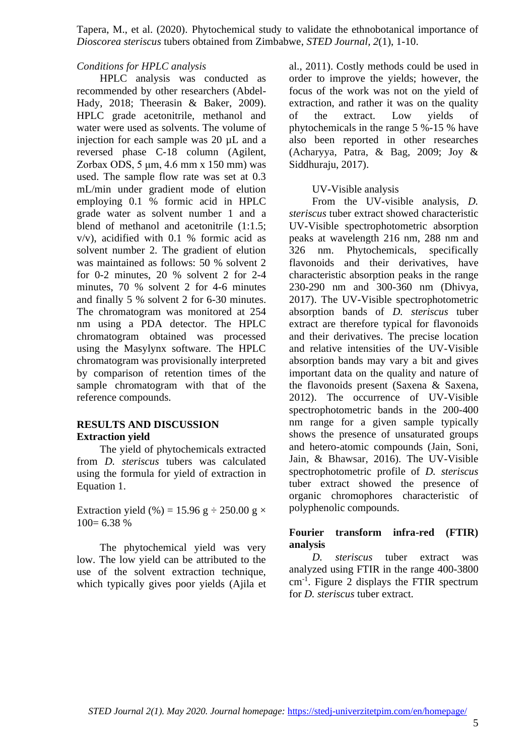#### *Conditions for HPLC analysis*

HPLC analysis was conducted as recommended by other researchers (Abdel-Hady, 2018; Theerasin & Baker, 2009). HPLC grade acetonitrile, methanol and water were used as solvents. The volume of injection for each sample was 20 µL and a reversed phase C-18 column (Agilent, Zorbax ODS, 5 μm, 4.6 mm x 150 mm) was used. The sample flow rate was set at 0.3 mL/min under gradient mode of elution employing 0.1 % formic acid in HPLC grade water as solvent number 1 and a blend of methanol and acetonitrile (1:1.5; v/v), acidified with 0.1 % formic acid as solvent number 2. The gradient of elution was maintained as follows: 50 % solvent 2 for 0-2 minutes, 20 % solvent 2 for 2-4 minutes, 70 % solvent 2 for 4-6 minutes and finally 5 % solvent 2 for 6-30 minutes. The chromatogram was monitored at 254 nm using a PDA detector. The HPLC chromatogram obtained was processed using the Masylynx software. The HPLC chromatogram was provisionally interpreted by comparison of retention times of the sample chromatogram with that of the reference compounds.

## **RESULTS AND DISCUSSION Extraction yield**

The yield of phytochemicals extracted from *D. steriscus* tubers was calculated using the formula for yield of extraction in Equation 1.

Extraction yield (%) = 15.96 g  $\div$  250.00 g  $\times$  $100= 6.38 %$ 

The phytochemical yield was very low. The low yield can be attributed to the use of the solvent extraction technique, which typically gives poor yields (Ajila et al., 2011). Costly methods could be used in order to improve the yields; however, the focus of the work was not on the yield of extraction, and rather it was on the quality of the extract. Low yields of phytochemicals in the range 5 %-15 % have also been reported in other researches (Acharyya, Patra, & Bag, 2009; Joy & Siddhuraju, 2017).

### UV-Visible analysis

From the UV-visible analysis, *D. steriscus* tuber extract showed characteristic UV-Visible spectrophotometric absorption peaks at wavelength 216 nm, 288 nm and 326 nm. Phytochemicals, specifically flavonoids and their derivatives, have characteristic absorption peaks in the range 230-290 nm and 300-360 nm (Dhivya, 2017). The UV-Visible spectrophotometric absorption bands of *D. steriscus* tuber extract are therefore typical for flavonoids and their derivatives. The precise location and relative intensities of the UV-Visible absorption bands may vary a bit and gives important data on the quality and nature of the flavonoids present (Saxena & Saxena, 2012). The occurrence of UV-Visible spectrophotometric bands in the 200-400 nm range for a given sample typically shows the presence of unsaturated groups and hetero-atomic compounds (Jain, Soni, Jain, & Bhawsar, 2016). The UV-Visible spectrophotometric profile of *D. steriscus* tuber extract showed the presence of organic chromophores characteristic of polyphenolic compounds.

## **Fourier transform infra-red (FTIR) analysis**

*D. steriscus* tuber extract was analyzed using FTIR in the range 400-3800 cm-1 . Figure 2 displays the FTIR spectrum for *D. steriscus* tuber extract.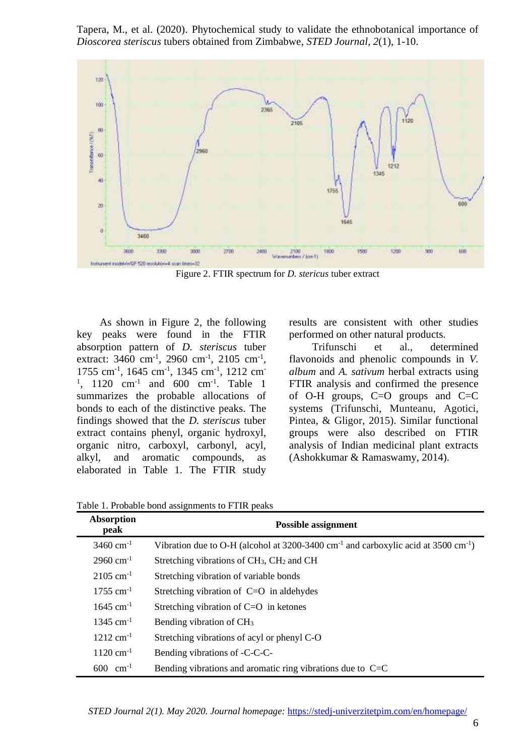

Figure 2. FTIR spectrum for *D. stericus* tuber extract

As shown in Figure 2, the following key peaks were found in the FTIR absorption pattern of *D. steriscus* tuber extract: 3460 cm<sup>-1</sup>, 2960 cm<sup>-1</sup>, 2105 cm<sup>-1</sup>, 1755 cm<sup>-1</sup>, 1645 cm<sup>-1</sup>, 1345 cm<sup>-1</sup>, 1212 cm<sup>-</sup> <sup>1</sup>, 1120 cm<sup>-1</sup> and 600 cm<sup>-1</sup>. Table 1 summarizes the probable allocations of bonds to each of the distinctive peaks. The findings showed that the *D. steriscus* tuber extract contains phenyl, organic hydroxyl, organic nitro, carboxyl, carbonyl, acyl, alkyl, and aromatic compounds, as elaborated in Table 1. The FTIR study

results are consistent with other studies performed on other natural products.

Trifunschi et al., determined flavonoids and phenolic compounds in *V. album* and *A. sativum* herbal extracts using FTIR analysis and confirmed the presence of O-H groups, C=O groups and C=C systems (Trifunschi, Munteanu, Agotici, Pintea, & Gligor, 2015). Similar functional groups were also described on FTIR analysis of Indian medicinal plant extracts (Ashokkumar & Ramaswamy, 2014).

Table 1. Probable bond assignments to FTIR peaks

| Absorption<br>peak      | <b>Possible assignment</b>                                                                                     |  |  |
|-------------------------|----------------------------------------------------------------------------------------------------------------|--|--|
| $3460 \text{ cm}^{-1}$  | Vibration due to O-H (alcohol at $3200-3400$ cm <sup>-1</sup> and carboxylic acid at $3500$ cm <sup>-1</sup> ) |  |  |
| $2960 \text{ cm}^{-1}$  | Stretching vibrations of CH <sub>3</sub> , CH <sub>2</sub> and CH                                              |  |  |
| $2105$ cm <sup>-1</sup> | Stretching vibration of variable bonds                                                                         |  |  |
| $1755$ cm <sup>-1</sup> | Stretching vibration of $C=O$ in aldehydes                                                                     |  |  |
| $1645$ cm <sup>-1</sup> | Stretching vibration of $C=O$ in ketones                                                                       |  |  |
| $1345$ cm <sup>-1</sup> | Bending vibration of CH <sub>3</sub>                                                                           |  |  |
| $1212 \text{ cm}^{-1}$  | Stretching vibrations of acyl or phenyl C-O                                                                    |  |  |
| $1120 \text{ cm}^{-1}$  | Bending vibrations of -C-C-C-                                                                                  |  |  |
| $600 \text{ cm}^{-1}$   | Bending vibrations and aromatic ring vibrations due to $C=C$                                                   |  |  |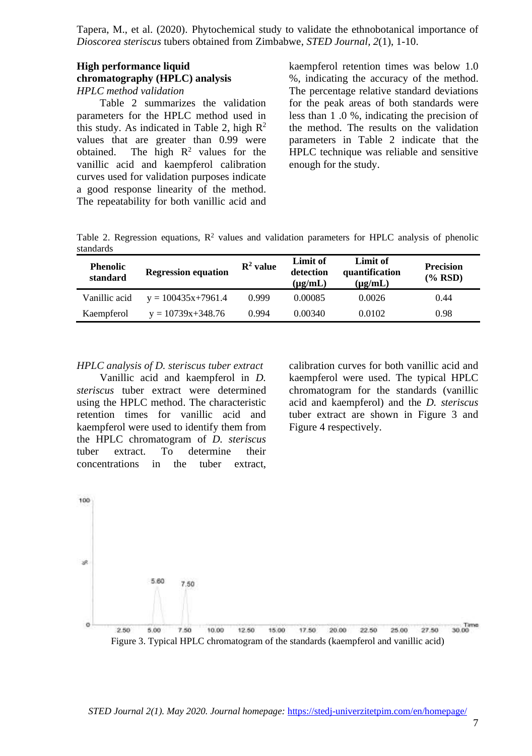### **High performance liquid chromatography (HPLC) analysis** *HPLC method validation*

Table 2 summarizes the validation parameters for the HPLC method used in this study. As indicated in Table 2, high  $\mathbb{R}^2$ values that are greater than 0.99 were obtained. The high  $R^2$  values for the vanillic acid and kaempferol calibration curves used for validation purposes indicate a good response linearity of the method. The repeatability for both vanillic acid and

kaempferol retention times was below 1.0 %, indicating the accuracy of the method. The percentage relative standard deviations for the peak areas of both standards were less than 1 .0 %, indicating the precision of the method. The results on the validation parameters in Table 2 indicate that the HPLC technique was reliable and sensitive enough for the study.

Table 2. Regression equations,  $R^2$  values and validation parameters for HPLC analysis of phenolic standards

| <b>Phenolic</b><br>standard | <b>Regression equation</b> | $\mathbb{R}^2$ value | Limit of<br>detection<br>$(\mu g/mL)$ | Limit of<br>quantification<br>$(\mu\mathbf{g}/m\mathbf{L})$ | <b>Precision</b><br>$(\%$ RSD) |
|-----------------------------|----------------------------|----------------------|---------------------------------------|-------------------------------------------------------------|--------------------------------|
| Vanillic acid               | $y = 100435x + 7961.4$     | 0.999                | 0.00085                               | 0.0026                                                      | 0.44                           |
| Kaempferol                  | $y = 10739x + 348.76$      | 0.994                | 0.00340                               | 0.0102                                                      | 0.98                           |

*HPLC analysis of D. steriscus tuber extract*

Vanillic acid and kaempferol in *D. steriscus* tuber extract were determined using the HPLC method. The characteristic retention times for vanillic acid and kaempferol were used to identify them from the HPLC chromatogram of *D. steriscus* tuber extract. To determine their concentrations in the tuber extract,

calibration curves for both vanillic acid and kaempferol were used. The typical HPLC chromatogram for the standards (vanillic acid and kaempferol) and the *D. steriscus* tuber extract are shown in Figure 3 and Figure 4 respectively.

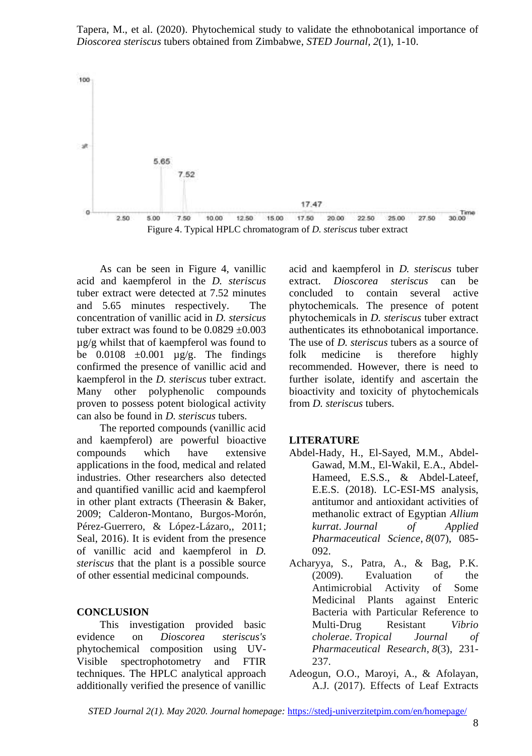

As can be seen in Figure 4, vanillic acid and kaempferol in the *D. steriscus* tuber extract were detected at 7.52 minutes and 5.65 minutes respectively. The concentration of vanillic acid in *D. stersicus* tuber extract was found to be  $0.0829 \pm 0.003$ µg/g whilst that of kaempferol was found to be  $0.0108 \pm 0.001$  ug/g. The findings confirmed the presence of vanillic acid and kaempferol in the *D. steriscus* tuber extract. Many other polyphenolic compounds proven to possess potent biological activity can also be found in *D. steriscus* tubers.

The reported compounds (vanillic acid and kaempferol) are powerful bioactive compounds which have extensive applications in the food, medical and related industries. Other researchers also detected and quantified vanillic acid and kaempferol in other plant extracts (Theerasin & Baker, 2009; Calderon-Montano, Burgos-Morón, Pérez-Guerrero, & López-Lázaro,, 2011; Seal, 2016). It is evident from the presence of vanillic acid and kaempferol in *D. steriscus* that the plant is a possible source of other essential medicinal compounds.

## **CONCLUSION**

This investigation provided basic evidence on *Dioscorea steriscus's* phytochemical composition using UV-Visible spectrophotometry and FTIR techniques. The HPLC analytical approach additionally verified the presence of vanillic

acid and kaempferol in *D. steriscus* tuber extract. *Dioscorea steriscus* can be concluded to contain several active phytochemicals. The presence of potent phytochemicals in *D. steriscus* tuber extract authenticates its ethnobotanical importance. The use of *D. steriscus* tubers as a source of folk medicine is therefore highly recommended. However, there is need to further isolate, identify and ascertain the bioactivity and toxicity of phytochemicals from *D. steriscus* tubers.

#### **LITERATURE**

- Abdel-Hady, H., El-Sayed, M.M., Abdel-Gawad, M.M., El-Wakil, E.A., Abdel-Hameed, E.S.S., & Abdel-Lateef, E.E.S. (2018). LC-ESI-MS analysis, antitumor and antioxidant activities of methanolic extract of Egyptian *Allium kurrat*. *Journal of Applied Pharmaceutical Science*, *8*(07), 085- 092.
- Acharyya, S., Patra, A., & Bag, P.K. (2009). Evaluation of the Antimicrobial Activity of Some Medicinal Plants against Enteric Bacteria with Particular Reference to Multi-Drug Resistant *Vibrio cholerae*. *Tropical Journal of Pharmaceutical Research*, *8*(3), 231- 237.
- Adeogun, O.O., Maroyi, A., & Afolayan, A.J. (2017). Effects of Leaf Extracts

*STED Journal 2(1). May 2020. Journal homepage:* <https://stedj-univerzitetpim.com/en/homepage/>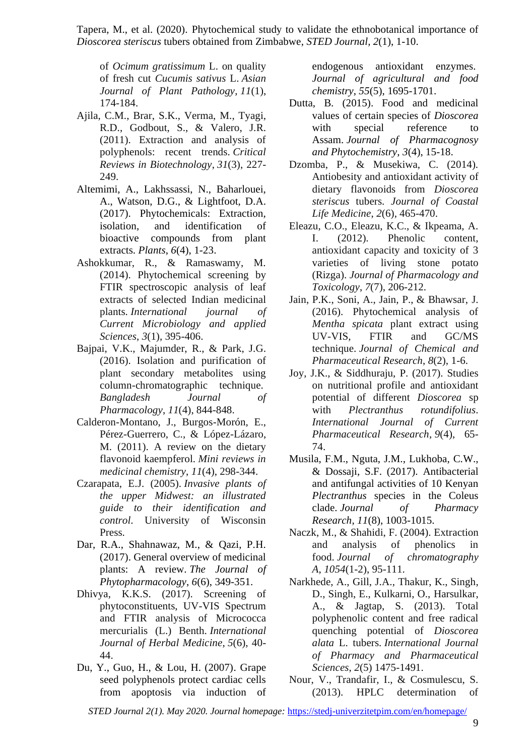of *Ocimum gratissimum* L. on quality of fresh cut *Cucumis sativus* L. *Asian Journal of Plant Pathology*, *11*(1), 174-184.

- Ajila, C.M., Brar, S.K., Verma, M., Tyagi, R.D., Godbout, S., & Valero, J.R. (2011). Extraction and analysis of polyphenols: recent trends. *Critical Reviews in Biotechnology*, *31*(3), 227- 249.
- Altemimi, A., Lakhssassi, N., Baharlouei, A., Watson, D.G., & Lightfoot, D.A. (2017). Phytochemicals: Extraction, isolation, and identification of bioactive compounds from plant extracts. *Plants*, *6*(4), 1-23.
- Ashokkumar, R., & Ramaswamy, M. (2014). Phytochemical screening by FTIR spectroscopic analysis of leaf extracts of selected Indian medicinal plants. *International journal of Current Microbiology and applied Sciences*, *3*(1), 395-406.
- Bajpai, V.K., Majumder, R., & Park, J.G. (2016). Isolation and purification of plant secondary metabolites using column-chromatographic technique. *Bangladesh Journal of Pharmacology*, *11*(4), 844-848.
- Calderon-Montano, J., Burgos-Morón, E., Pérez-Guerrero, C., & López-Lázaro, M. (2011). A review on the dietary flavonoid kaempferol. *Mini reviews in medicinal chemistry*, *11*(4), 298-344.
- Czarapata, E.J. (2005). *Invasive plants of the upper Midwest: an illustrated guide to their identification and control*. University of Wisconsin Press.
- Dar, R.A., Shahnawaz, M., & Qazi, P.H. (2017). General overview of medicinal plants: A review. *The Journal of Phytopharmacology*, *6*(6), 349-351.
- Dhivya, K.K.S. (2017). Screening of phytoconstituents, UV-VIS Spectrum and FTIR analysis of Micrococca mercurialis (L.) Benth. *International Journal of Herbal Medicine*, *5*(6), 40- 44.
- Du, Y., Guo, H., & Lou, H. (2007). Grape seed polyphenols protect cardiac cells from apoptosis via induction of

endogenous antioxidant enzymes. *Journal of agricultural and food chemistry*, *55*(5), 1695-1701.

- Dutta, B. (2015). Food and medicinal values of certain species of *Dioscorea* with special reference to Assam. *Journal of Pharmacognosy and Phytochemistry*, *3*(4), 15-18.
- Dzomba, P., & Musekiwa, C. (2014). Antiobesity and antioxidant activity of dietary flavonoids from *Dioscorea steriscus* tubers. *Journal of Coastal Life Medicine*, *2*(6), 465-470.
- Eleazu, C.O., Eleazu, K.C., & Ikpeama, A. I. (2012). Phenolic content, antioxidant capacity and toxicity of 3 varieties of living stone potato (Rizga). *Journal of Pharmacology and Toxicology*, *7*(7), 206-212.
- Jain, P.K., Soni, A., Jain, P., & Bhawsar, J. (2016). Phytochemical analysis of *Mentha spicata* plant extract using UV-VIS, FTIR and GC/MS technique. *Journal of Chemical and Pharmaceutical Research*, *8*(2), 1-6.
- Joy, J.K., & Siddhuraju, P. (2017). Studies on nutritional profile and antioxidant potential of different *Dioscorea* sp with *Plectranthus rotundifolius*. *International Journal of Current Pharmaceutical Research*, *9*(4), 65- 74.
- Musila, F.M., Nguta, J.M., Lukhoba, C.W., & Dossaji, S.F. (2017). Antibacterial and antifungal activities of 10 Kenyan *Plectranthus* species in the Coleus clade. *Journal of Pharmacy Research*, *11*(8), 1003-1015.
- Naczk, M., & Shahidi, F. (2004). Extraction and analysis of phenolics in food. *Journal of chromatography A*, *1054*(1-2), 95-111.
- Narkhede, A., Gill, J.A., Thakur, K., Singh, D., Singh, E., Kulkarni, O., Harsulkar, A., & Jagtap, S. (2013). Total polyphenolic content and free radical quenching potential of *Dioscorea alata* L. tubers. *International Journal of Pharmacy and Pharmaceutical Sciences*, *2*(5) 1475-1491.
- Nour, V., Trandafir, I., & Cosmulescu, S. (2013). HPLC determination of

*STED Journal 2(1). May 2020. Journal homepage:* <https://stedj-univerzitetpim.com/en/homepage/>